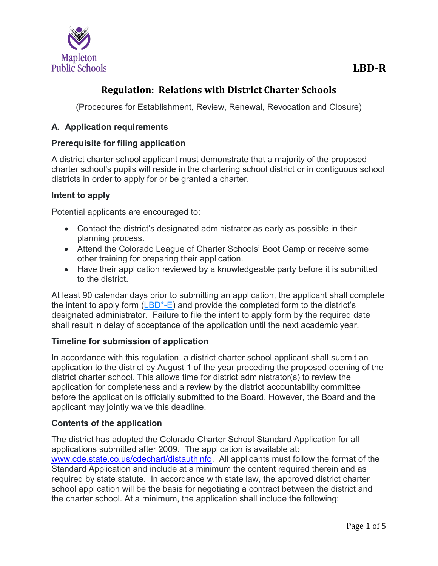

# **Regulation: Relations with District Charter Schools**

(Procedures for Establishment, Review, Renewal, Revocation and Closure)

## **A. Application requirements**

## **Prerequisite for filing application**

A district charter school applicant must demonstrate that a majority of the proposed charter school's pupils will reside in the chartering school district or in contiguous school districts in order to apply for or be granted a charter.

### **Intent to apply**

Potential applicants are encouraged to:

- Contact the district's designated administrator as early as possible in their planning process.
- Attend the Colorado League of Charter Schools' Boot Camp or receive some other training for preparing their application.
- Have their application reviewed by a knowledgeable party before it is submitted to the district.

At least 90 calendar days prior to submitting an application, the applicant shall complete the intent to apply form  $(LBD^{\ast}-E)$  and provide the completed form to the district's designated administrator. Failure to file the intent to apply form by the required date shall result in delay of acceptance of the application until the next academic year.

## **Timeline for submission of application**

In accordance with this regulation, a district charter school applicant shall submit an application to the district by August 1 of the year preceding the proposed opening of the district charter school. This allows time for district administrator(s) to review the application for completeness and a review by the district accountability committee before the application is officially submitted to the Board. However, the Board and the applicant may jointly waive this deadline.

## **Contents of the application**

The district has adopted the Colorado Charter School Standard Application for all applications submitted after 2009. The application is available at: [www.cde.state.co.us/cdechart/distauthinfo.](http://www.cde.state.co.us/cdechart/distauthinfo) All applicants must follow the format of the Standard Application and include at a minimum the content required therein and as required by state statute. In accordance with state law, the approved district charter school application will be the basis for negotiating a contract between the district and the charter school. At a minimum, the application shall include the following: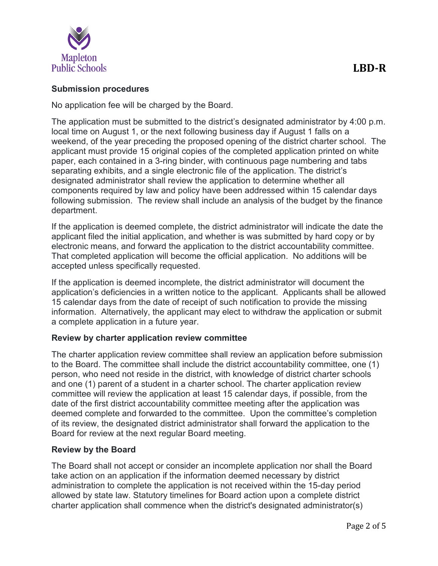

#### **Submission procedures**

No application fee will be charged by the Board.

The application must be submitted to the district's designated administrator by 4:00 p.m. local time on August 1, or the next following business day if August 1 falls on a weekend, of the year preceding the proposed opening of the district charter school. The applicant must provide 15 original copies of the completed application printed on white paper, each contained in a 3-ring binder, with continuous page numbering and tabs separating exhibits, and a single electronic file of the application. The district's designated administrator shall review the application to determine whether all components required by law and policy have been addressed within 15 calendar days following submission. The review shall include an analysis of the budget by the finance department.

If the application is deemed complete, the district administrator will indicate the date the applicant filed the initial application, and whether is was submitted by hard copy or by electronic means, and forward the application to the district accountability committee. That completed application will become the official application. No additions will be accepted unless specifically requested.

If the application is deemed incomplete, the district administrator will document the application's deficiencies in a written notice to the applicant. Applicants shall be allowed 15 calendar days from the date of receipt of such notification to provide the missing information. Alternatively, the applicant may elect to withdraw the application or submit a complete application in a future year.

#### **Review by charter application review committee**

The charter application review committee shall review an application before submission to the Board. The committee shall include the district accountability committee, one (1) person, who need not reside in the district, with knowledge of district charter schools and one (1) parent of a student in a charter school. The charter application review committee will review the application at least 15 calendar days, if possible, from the date of the first district accountability committee meeting after the application was deemed complete and forwarded to the committee. Upon the committee's completion of its review, the designated district administrator shall forward the application to the Board for review at the next regular Board meeting.

#### **Review by the Board**

The Board shall not accept or consider an incomplete application nor shall the Board take action on an application if the information deemed necessary by district administration to complete the application is not received within the 15-day period allowed by state law. Statutory timelines for Board action upon a complete district charter application shall commence when the district's designated administrator(s)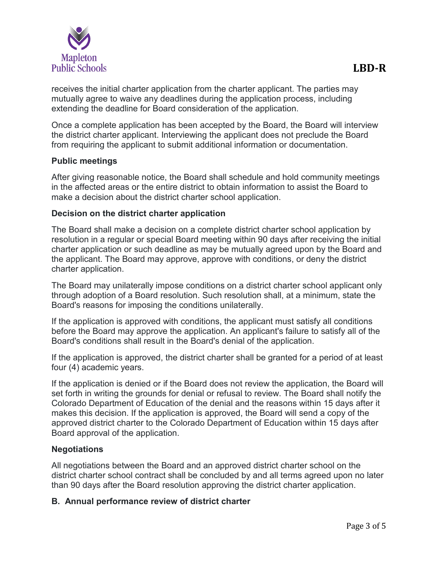

receives the initial charter application from the charter applicant. The parties may mutually agree to waive any deadlines during the application process, including extending the deadline for Board consideration of the application.

Once a complete application has been accepted by the Board, the Board will interview the district charter applicant. Interviewing the applicant does not preclude the Board from requiring the applicant to submit additional information or documentation.

### **Public meetings**

After giving reasonable notice, the Board shall schedule and hold community meetings in the affected areas or the entire district to obtain information to assist the Board to make a decision about the district charter school application.

#### **Decision on the district charter application**

The Board shall make a decision on a complete district charter school application by resolution in a regular or special Board meeting within 90 days after receiving the initial charter application or such deadline as may be mutually agreed upon by the Board and the applicant. The Board may approve, approve with conditions, or deny the district charter application.

The Board may unilaterally impose conditions on a district charter school applicant only through adoption of a Board resolution. Such resolution shall, at a minimum, state the Board's reasons for imposing the conditions unilaterally.

If the application is approved with conditions, the applicant must satisfy all conditions before the Board may approve the application. An applicant's failure to satisfy all of the Board's conditions shall result in the Board's denial of the application.

If the application is approved, the district charter shall be granted for a period of at least four (4) academic years.

If the application is denied or if the Board does not review the application, the Board will set forth in writing the grounds for denial or refusal to review. The Board shall notify the Colorado Department of Education of the denial and the reasons within 15 days after it makes this decision. If the application is approved, the Board will send a copy of the approved district charter to the Colorado Department of Education within 15 days after Board approval of the application.

#### **Negotiations**

All negotiations between the Board and an approved district charter school on the district charter school contract shall be concluded by and all terms agreed upon no later than 90 days after the Board resolution approving the district charter application.

#### **B. Annual performance review of district charter**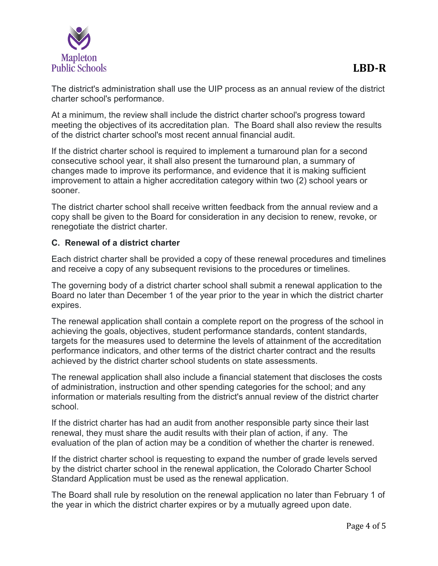

The district's administration shall use the UIP process as an annual review of the district charter school's performance.

At a minimum, the review shall include the district charter school's progress toward meeting the objectives of its accreditation plan. The Board shall also review the results of the district charter school's most recent annual financial audit.

If the district charter school is required to implement a turnaround plan for a second consecutive school year, it shall also present the turnaround plan, a summary of changes made to improve its performance, and evidence that it is making sufficient improvement to attain a higher accreditation category within two (2) school years or sooner.

The district charter school shall receive written feedback from the annual review and a copy shall be given to the Board for consideration in any decision to renew, revoke, or renegotiate the district charter.

## **C. Renewal of a district charter**

Each district charter shall be provided a copy of these renewal procedures and timelines and receive a copy of any subsequent revisions to the procedures or timelines.

The governing body of a district charter school shall submit a renewal application to the Board no later than December 1 of the year prior to the year in which the district charter expires.

The renewal application shall contain a complete report on the progress of the school in achieving the goals, objectives, student performance standards, content standards, targets for the measures used to determine the levels of attainment of the accreditation performance indicators, and other terms of the district charter contract and the results achieved by the district charter school students on state assessments.

The renewal application shall also include a financial statement that discloses the costs of administration, instruction and other spending categories for the school; and any information or materials resulting from the district's annual review of the district charter school.

If the district charter has had an audit from another responsible party since their last renewal, they must share the audit results with their plan of action, if any. The evaluation of the plan of action may be a condition of whether the charter is renewed.

If the district charter school is requesting to expand the number of grade levels served by the district charter school in the renewal application, the Colorado Charter School Standard Application must be used as the renewal application.

The Board shall rule by resolution on the renewal application no later than February 1 of the year in which the district charter expires or by a mutually agreed upon date.